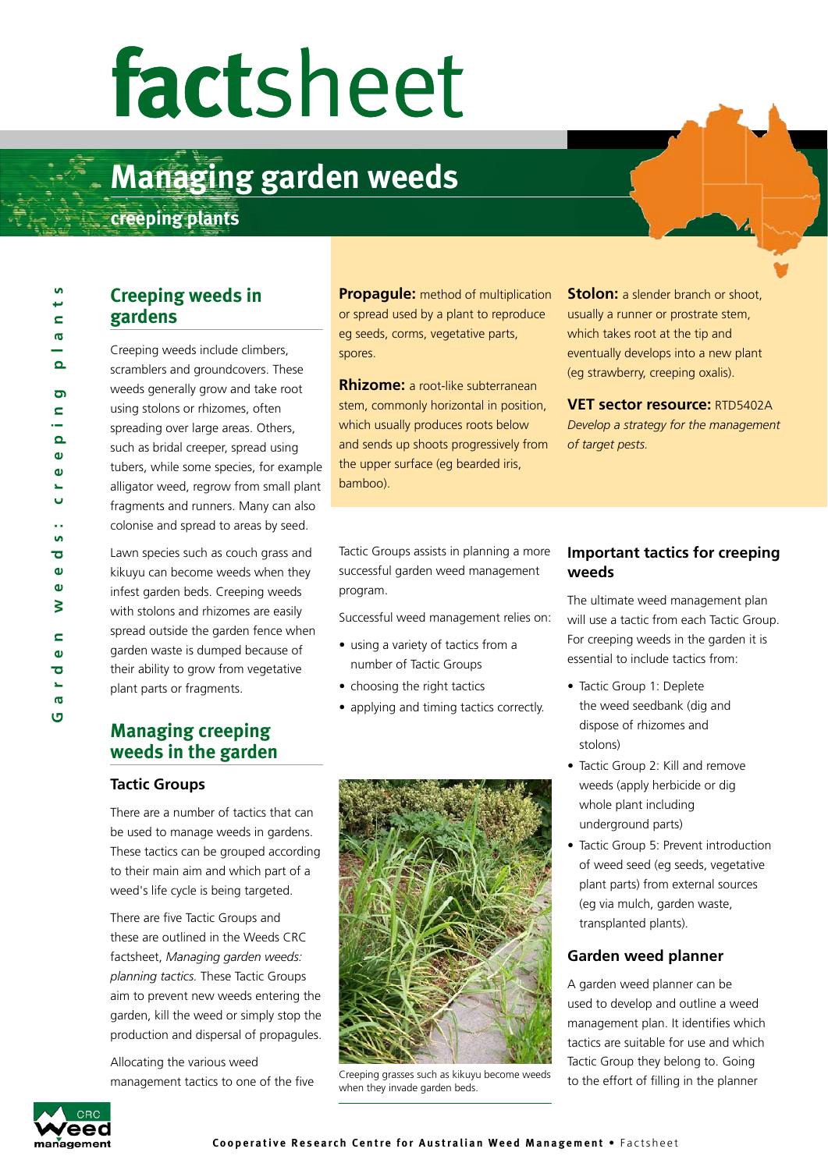# **fact**sheet

# **Managing garden weeds: weeds**

**diagonal creeping plants** 

 $\mathbf{a}$ 

# **Creeping weeds in gardens**

Creeping weeds include climbers, scramblers and groundcovers. These weeds generally grow and take root using stolons or rhizomes, often spreading over large areas. Others, such as bridal creeper, spread using tubers, while some species, for example alligator weed, regrow from small plant fragments and runners. Many can also colonise and spread to areas by seed.

Lawn species such as couch grass and kikuyu can become weeds when they infest garden beds. Creeping weeds with stolons and rhizomes are easily spread outside the garden fence when garden waste is dumped because of their ability to grow from vegetative plant parts or fragments.

# **Managing creeping weeds in the garden**

#### **Tactic Groups**

There are a number of tactics that can be used to manage weeds in gardens. These tactics can be grouped according to their main aim and which part of a weed's life cycle is being targeted.

There are five Tactic Groups and these are outlined in the Weeds CRC factsheet, *Managing garden weeds: planning tactics.* These Tactic Groups aim to prevent new weeds entering the garden, kill the weed or simply stop the production and dispersal of propagules.

Allocating the various weed management tactics to one of the five **Propagule:** method of multiplication or spread used by a plant to reproduce eg seeds, corms, vegetative parts, spores.

**Rhizome:** a root-like subterranean stem, commonly horizontal in position, which usually produces roots below and sends up shoots progressively from the upper surface (eg bearded iris, bamboo).

**Stolon:** a slender branch or shoot, usually a runner or prostrate stem, which takes root at the tip and eventually develops into a new plant (eg strawberry, creeping oxalis).

**VET sector resource:** RTD5402A *Develop a strategy for the management of target pests.*

Tactic Groups assists in planning a more successful garden weed management program.

Successful weed management relies on:

- using a variety of tactics from a number of Tactic Groups
- choosing the right tactics
- applying and timing tactics correctly.



Creeping grasses such as kikuyu become weeds when they invade garden beds.

## **Important tactics for creeping weeds**

The ultimate weed management plan will use a tactic from each Tactic Group. For creeping weeds in the garden it is essential to include tactics from:

- Tactic Group 1: Deplete the weed seedbank (dig and dispose of rhizomes and stolons)
- Tactic Group 2: Kill and remove weeds (apply herbicide or dig whole plant including underground parts)
- Tactic Group 5: Prevent introduction of weed seed (eg seeds, vegetative plant parts) from external sources (eg via mulch, garden waste, transplanted plants).

### **Garden weed planner**

A garden weed planner can be used to develop and outline a weed management plan. It identifies which tactics are suitable for use and which Tactic Group they belong to. Going to the effort of filling in the planner

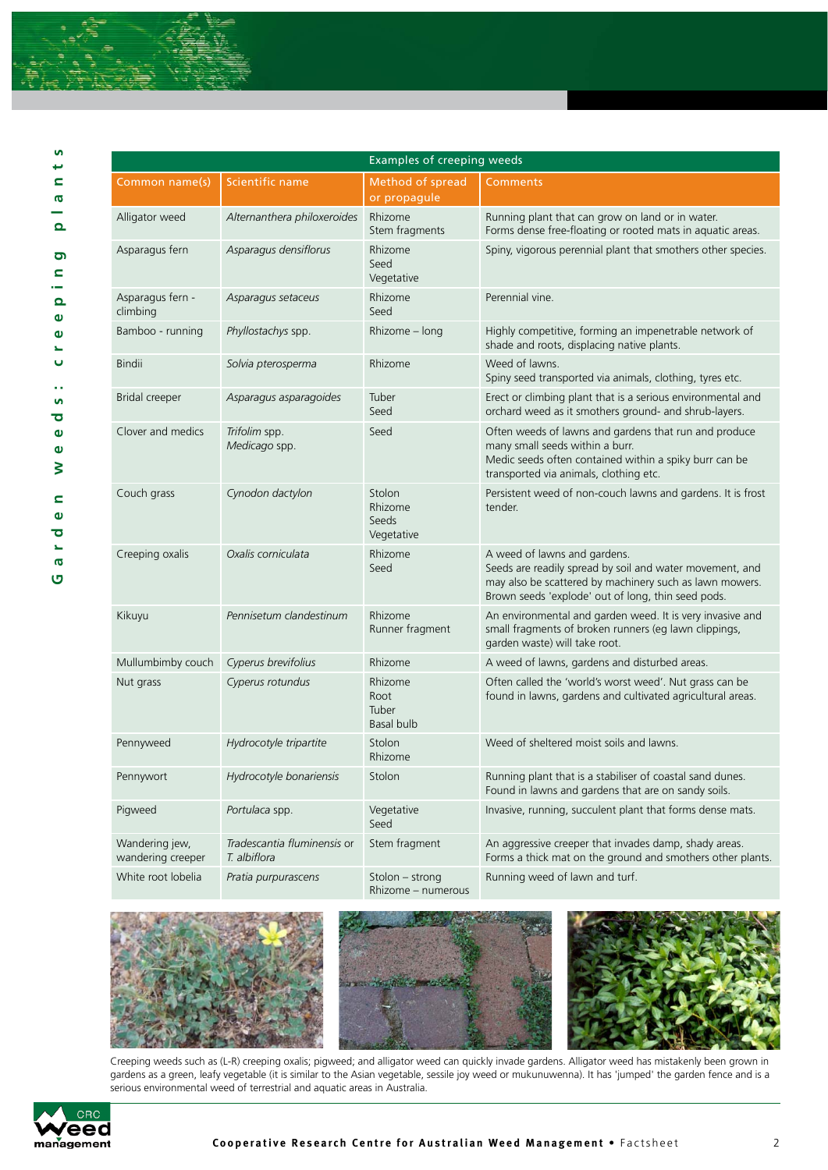

| n                       |
|-------------------------|
| ⊷                       |
| C                       |
| ത                       |
|                         |
|                         |
| $\Omega$                |
|                         |
| G                       |
| C                       |
| ÷                       |
| $\Omega$                |
| $\mathbf 0$             |
| $\mathbf{v}$            |
|                         |
| L,                      |
| Ü                       |
|                         |
|                         |
| ×,                      |
| <b>i</b>                |
| $\overline{\mathbf{C}}$ |
| $\mathbf 0$             |
|                         |
| $\bullet$               |
| ξ                       |
|                         |
| c                       |
|                         |
| $\mathbf 0$             |
| ō                       |
| s.                      |
| <b>ID</b>               |
| ច                       |

| <b>Examples of creeping weeds</b>   |                                             |                                          |                                                                                                                                                                                                           |  |  |
|-------------------------------------|---------------------------------------------|------------------------------------------|-----------------------------------------------------------------------------------------------------------------------------------------------------------------------------------------------------------|--|--|
| Common name(s)                      | Scientific name                             | Method of spread<br>or propagule         | <b>Comments</b>                                                                                                                                                                                           |  |  |
| Alligator weed                      | Alternanthera philoxeroides                 | Rhizome<br>Stem fragments                | Running plant that can grow on land or in water.<br>Forms dense free-floating or rooted mats in aquatic areas.                                                                                            |  |  |
| Asparagus fern                      | Asparagus densiflorus                       | Rhizome<br>Seed<br>Vegetative            | Spiny, vigorous perennial plant that smothers other species.                                                                                                                                              |  |  |
| Asparagus fern -<br>climbing        | Asparagus setaceus                          | Rhizome<br>Seed                          | Perennial vine.                                                                                                                                                                                           |  |  |
| Bamboo - running                    | Phyllostachys spp.                          | Rhizome - long                           | Highly competitive, forming an impenetrable network of<br>shade and roots, displacing native plants.                                                                                                      |  |  |
| <b>Bindii</b>                       | Solvia pterosperma                          | Rhizome                                  | Weed of lawns.<br>Spiny seed transported via animals, clothing, tyres etc.                                                                                                                                |  |  |
| Bridal creeper                      | Asparagus asparagoides                      | Tuber<br>Seed                            | Erect or climbing plant that is a serious environmental and<br>orchard weed as it smothers ground- and shrub-layers.                                                                                      |  |  |
| Clover and medics                   | Trifolim spp.<br>Medicago spp.              | Seed                                     | Often weeds of lawns and gardens that run and produce<br>many small seeds within a burr.<br>Medic seeds often contained within a spiky burr can be<br>transported via animals, clothing etc.              |  |  |
| Couch grass                         | Cynodon dactylon                            | Stolon<br>Rhizome<br>Seeds<br>Vegetative | Persistent weed of non-couch lawns and gardens. It is frost<br>tender.                                                                                                                                    |  |  |
| Creeping oxalis                     | Oxalis corniculata                          | Rhizome<br>Seed                          | A weed of lawns and gardens.<br>Seeds are readily spread by soil and water movement, and<br>may also be scattered by machinery such as lawn mowers.<br>Brown seeds 'explode' out of long, thin seed pods. |  |  |
| Kikuyu                              | Pennisetum clandestinum                     | Rhizome<br>Runner fragment               | An environmental and garden weed. It is very invasive and<br>small fragments of broken runners (eg lawn clippings,<br>garden waste) will take root.                                                       |  |  |
| Mullumbimby couch                   | Cyperus brevifolius                         | Rhizome                                  | A weed of lawns, gardens and disturbed areas.                                                                                                                                                             |  |  |
| Nut grass                           | Cyperus rotundus                            | Rhizome<br>Root<br>Tuber<br>Basal bulb   | Often called the 'world's worst weed'. Nut grass can be<br>found in lawns, gardens and cultivated agricultural areas.                                                                                     |  |  |
| Pennyweed                           | Hydrocotyle tripartite                      | Stolon<br>Rhizome                        | Weed of sheltered moist soils and lawns.                                                                                                                                                                  |  |  |
| Pennywort                           | Hydrocotyle bonariensis                     | Stolon                                   | Running plant that is a stabiliser of coastal sand dunes.<br>Found in lawns and gardens that are on sandy soils.                                                                                          |  |  |
| Pigweed                             | Portulaca spp.                              | Vegetative<br>Seed                       | Invasive, running, succulent plant that forms dense mats.                                                                                                                                                 |  |  |
| Wandering jew,<br>wandering creeper | Tradescantia fluminensis or<br>T. albiflora | Stem fragment                            | An aggressive creeper that invades damp, shady areas.<br>Forms a thick mat on the ground and smothers other plants.                                                                                       |  |  |
| White root lobelia                  | Pratia purpurascens                         | Stolon - strong<br>Rhizome - numerous    | Running weed of lawn and turf.                                                                                                                                                                            |  |  |







Creeping weeds such as (L-R) creeping oxalis; pigweed; and alligator weed can quickly invade gardens. Alligator weed has mistakenly been grown in gardens as a green, leafy vegetable (it is similar to the Asian vegetable, sessile joy weed or mukunuwenna). It has 'jumped' the garden fence and is a serious environmental weed of terrestrial and aquatic areas in Australia.

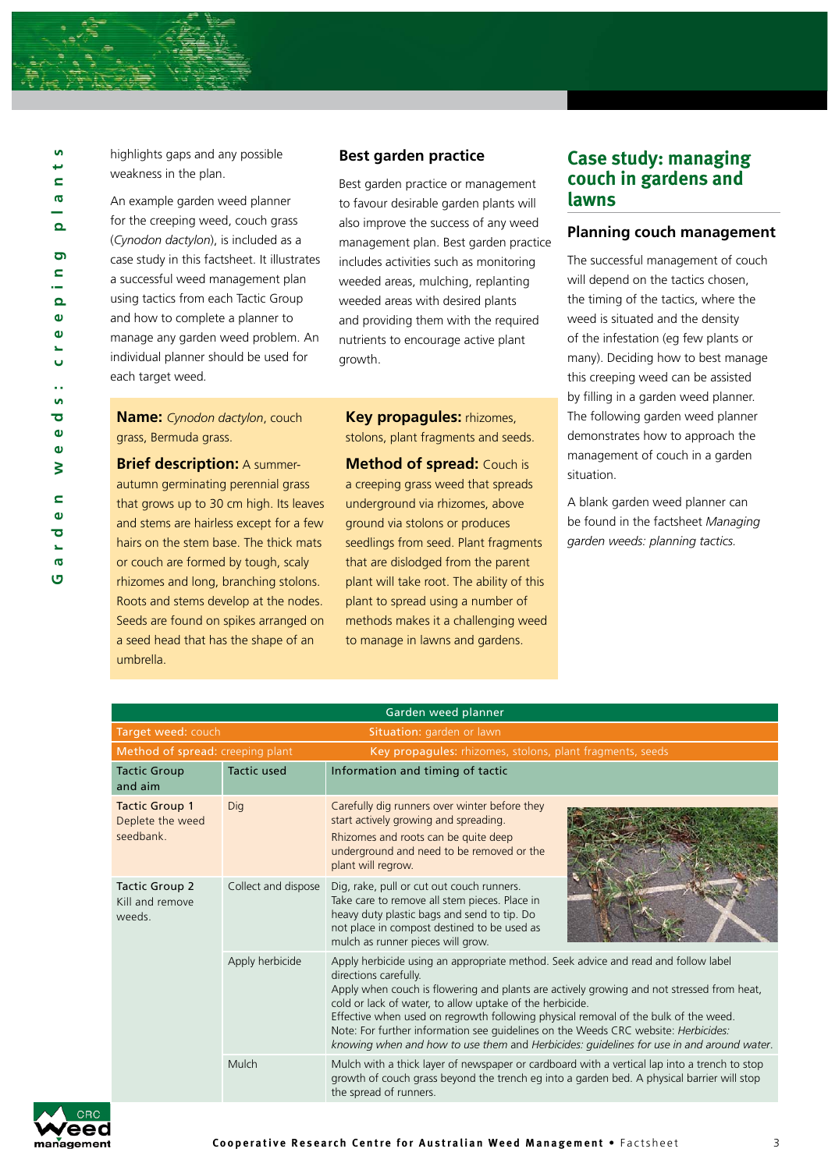

highlights gaps and any possible weakness in the plan.

An example garden weed planner for the creeping weed, couch grass (*Cynodon dactylon*), is included as a case study in this factsheet. It illustrates a successful weed management plan using tactics from each Tactic Group and how to complete a planner to manage any garden weed problem. An individual planner should be used for each target weed *.*

#### **Best garden practice**

Best garden practice or management to favour desirable garden plants will also improve the success of any weed management plan. Best garden practice includes activities such as monitoring weeded areas, mulching, replanting weeded areas with desired plants and providing them with the required nutrients to encourage active plant growth.

**Name:** *Cynodon dactylon*, couch grass, Bermuda grass.

**Brief description:** A summerautumn germinating perennial grass that grows up to 30 cm high. Its leaves and stems are hairless except for a few hairs on the stem base. The thick mats or couch are formed by tough, scaly rhizomes and long, branching stolons. Roots and stems develop at the nodes. Seeds are found on spikes arranged on a seed head that has the shape of an umbrella.

**Key propagules:** rhizomes, stolons, plant fragments and seeds.

**Method of spread:** Couch is a creeping grass weed that spreads underground via rhizomes, above ground via stolons or produces seedlings from seed. Plant fragments that are dislodged from the parent plant will take root. The ability of this plant to spread using a number of methods makes it a challenging weed to manage in lawns and gardens.

### **Case study: managing couch in gardens and lawns**

#### **Planning couch management**

The successful management of couch will depend on the tactics chosen, the timing of the tactics, where the weed is situated and the density of the infestation (eg few plants or many). Deciding how to best manage this creeping weed can be assisted by filling in a garden weed planner. The following garden weed planner demonstrates how to approach the management of couch in a garden situation.

A blank garden weed planner can be found in the factsheet *Managing garden weeds: planning tactics.*

| Garden weed planner                                    |                     |                                                                                                                                                                                                                                                                                                                                                                                                                                                                                                                                               |  |  |  |
|--------------------------------------------------------|---------------------|-----------------------------------------------------------------------------------------------------------------------------------------------------------------------------------------------------------------------------------------------------------------------------------------------------------------------------------------------------------------------------------------------------------------------------------------------------------------------------------------------------------------------------------------------|--|--|--|
| Target weed: couch<br>Situation: garden or lawn        |                     |                                                                                                                                                                                                                                                                                                                                                                                                                                                                                                                                               |  |  |  |
| Method of spread: creeping plant                       |                     | Key propagules: rhizomes, stolons, plant fragments, seeds                                                                                                                                                                                                                                                                                                                                                                                                                                                                                     |  |  |  |
| <b>Tactic Group</b><br>and aim                         | <b>Tactic used</b>  | Information and timing of tactic                                                                                                                                                                                                                                                                                                                                                                                                                                                                                                              |  |  |  |
| <b>Tactic Group 1</b><br>Deplete the weed<br>seedbank. | Dig                 | Carefully dig runners over winter before they<br>start actively growing and spreading.<br>Rhizomes and roots can be quite deep<br>underground and need to be removed or the<br>plant will regrow.                                                                                                                                                                                                                                                                                                                                             |  |  |  |
| Tactic Group 2<br>Kill and remove<br>weeds.            | Collect and dispose | Dig, rake, pull or cut out couch runners.<br>Take care to remove all stem pieces. Place in<br>heavy duty plastic bags and send to tip. Do<br>not place in compost destined to be used as<br>mulch as runner pieces will grow.                                                                                                                                                                                                                                                                                                                 |  |  |  |
|                                                        | Apply herbicide     | Apply herbicide using an appropriate method. Seek advice and read and follow label<br>directions carefully.<br>Apply when couch is flowering and plants are actively growing and not stressed from heat,<br>cold or lack of water, to allow uptake of the herbicide.<br>Effective when used on regrowth following physical removal of the bulk of the weed.<br>Note: For further information see guidelines on the Weeds CRC website: Herbicides:<br>knowing when and how to use them and Herbicides: guidelines for use in and around water. |  |  |  |
|                                                        | Mulch               | Mulch with a thick layer of newspaper or cardboard with a vertical lap into a trench to stop<br>growth of couch grass beyond the trench eq into a garden bed. A physical barrier will stop<br>the spread of runners.                                                                                                                                                                                                                                                                                                                          |  |  |  |